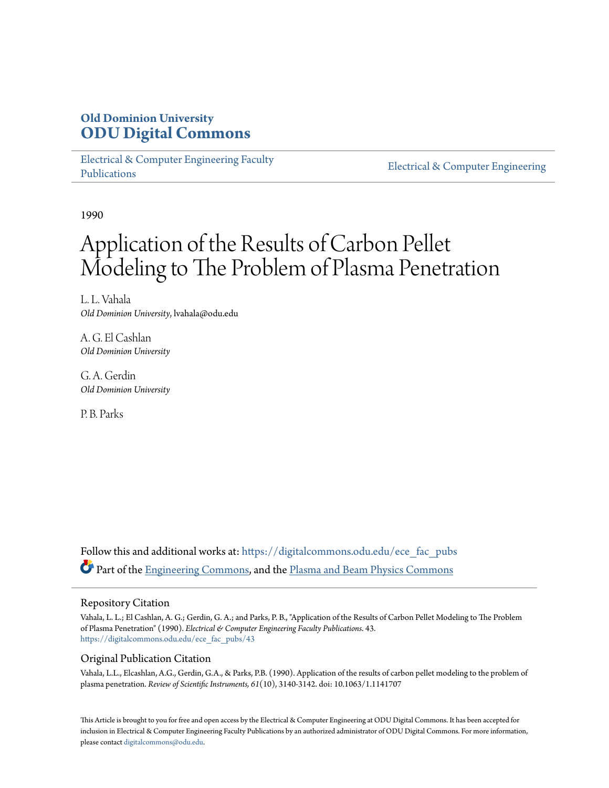## **Old Dominion University [ODU Digital Commons](https://digitalcommons.odu.edu?utm_source=digitalcommons.odu.edu%2Fece_fac_pubs%2F43&utm_medium=PDF&utm_campaign=PDFCoverPages)**

[Electrical & Computer Engineering Faculty](https://digitalcommons.odu.edu/ece_fac_pubs?utm_source=digitalcommons.odu.edu%2Fece_fac_pubs%2F43&utm_medium=PDF&utm_campaign=PDFCoverPages) [Publications](https://digitalcommons.odu.edu/ece_fac_pubs?utm_source=digitalcommons.odu.edu%2Fece_fac_pubs%2F43&utm_medium=PDF&utm_campaign=PDFCoverPages)

[Electrical & Computer Engineering](https://digitalcommons.odu.edu/ece?utm_source=digitalcommons.odu.edu%2Fece_fac_pubs%2F43&utm_medium=PDF&utm_campaign=PDFCoverPages)

1990

# Application of the Results of Carbon Pellet Modeling to The Problem of Plasma Penetration

L. L. Vahala *Old Dominion University*, lvahala@odu.edu

A. G. El Cashlan *Old Dominion University*

G. A. Gerdin *Old Dominion University*

P. B. Parks

Follow this and additional works at: [https://digitalcommons.odu.edu/ece\\_fac\\_pubs](https://digitalcommons.odu.edu/ece_fac_pubs?utm_source=digitalcommons.odu.edu%2Fece_fac_pubs%2F43&utm_medium=PDF&utm_campaign=PDFCoverPages) Part of the [Engineering Commons,](http://network.bepress.com/hgg/discipline/217?utm_source=digitalcommons.odu.edu%2Fece_fac_pubs%2F43&utm_medium=PDF&utm_campaign=PDFCoverPages) and the [Plasma and Beam Physics Commons](http://network.bepress.com/hgg/discipline/205?utm_source=digitalcommons.odu.edu%2Fece_fac_pubs%2F43&utm_medium=PDF&utm_campaign=PDFCoverPages)

#### Repository Citation

Vahala, L. L.; El Cashlan, A. G.; Gerdin, G. A.; and Parks, P. B., "Application of the Results of Carbon Pellet Modeling to The Problem of Plasma Penetration" (1990). *Electrical & Computer Engineering Faculty Publications*. 43. [https://digitalcommons.odu.edu/ece\\_fac\\_pubs/43](https://digitalcommons.odu.edu/ece_fac_pubs/43?utm_source=digitalcommons.odu.edu%2Fece_fac_pubs%2F43&utm_medium=PDF&utm_campaign=PDFCoverPages)

### Original Publication Citation

Vahala, L.L., Elcashlan, A.G., Gerdin, G.A., & Parks, P.B. (1990). Application of the results of carbon pellet modeling to the problem of plasma penetration. *Review of Scientific Instruments, 61*(10), 3140-3142. doi: 10.1063/1.1141707

This Article is brought to you for free and open access by the Electrical & Computer Engineering at ODU Digital Commons. It has been accepted for inclusion in Electrical & Computer Engineering Faculty Publications by an authorized administrator of ODU Digital Commons. For more information, please contact [digitalcommons@odu.edu](mailto:digitalcommons@odu.edu).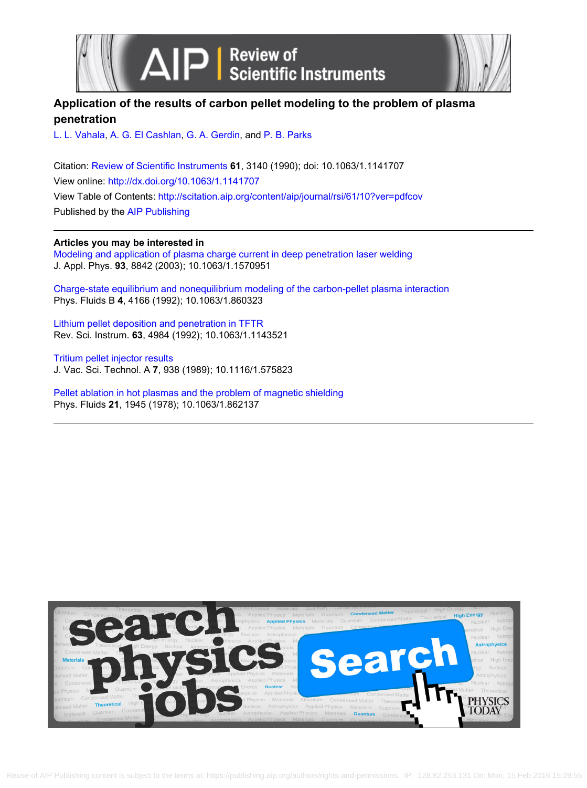



## **Application of the results of carbon pellet modeling to the problem of plasma penetration**

[L. L. Vahala](http://scitation.aip.org/search?value1=L.+L.+Vahala&option1=author), [A. G. El Cashlan,](http://scitation.aip.org/search?value1=A.+G.+El+Cashlan&option1=author) [G. A. Gerdin,](http://scitation.aip.org/search?value1=G.+A.+Gerdin&option1=author) and [P. B. Parks](http://scitation.aip.org/search?value1=P.+B.+Parks&option1=author)

Citation: [Review of Scientific Instruments](http://scitation.aip.org/content/aip/journal/rsi?ver=pdfcov) **61**, 3140 (1990); doi: 10.1063/1.1141707 View online: <http://dx.doi.org/10.1063/1.1141707> View Table of Contents: <http://scitation.aip.org/content/aip/journal/rsi/61/10?ver=pdfcov> Published by the [AIP Publishing](http://scitation.aip.org/content/aip?ver=pdfcov)

**Articles you may be interested in**

[Modeling and application of plasma charge current in deep penetration laser welding](http://scitation.aip.org/content/aip/journal/jap/93/11/10.1063/1.1570951?ver=pdfcov) J. Appl. Phys. **93**, 8842 (2003); 10.1063/1.1570951

[Charge‐state equilibrium and nonequilibrium modeling of the carbon‐pellet plasma interaction](http://scitation.aip.org/content/aip/journal/pofb/4/12/10.1063/1.860323?ver=pdfcov) Phys. Fluids B **4**, 4166 (1992); 10.1063/1.860323

[Lithium pellet deposition and penetration in TFTR](http://scitation.aip.org/content/aip/journal/rsi/63/10/10.1063/1.1143521?ver=pdfcov) Rev. Sci. Instrum. **63**, 4984 (1992); 10.1063/1.1143521

[Tritium pellet injector results](http://scitation.aip.org/content/avs/journal/jvsta/7/3/10.1116/1.575823?ver=pdfcov) J. Vac. Sci. Technol. A **7**, 938 (1989); 10.1116/1.575823

[Pellet ablation in hot plasmas and the problem of magnetic shielding](http://scitation.aip.org/content/aip/journal/pof1/21/11/10.1063/1.862137?ver=pdfcov) Phys. Fluids **21**, 1945 (1978); 10.1063/1.862137

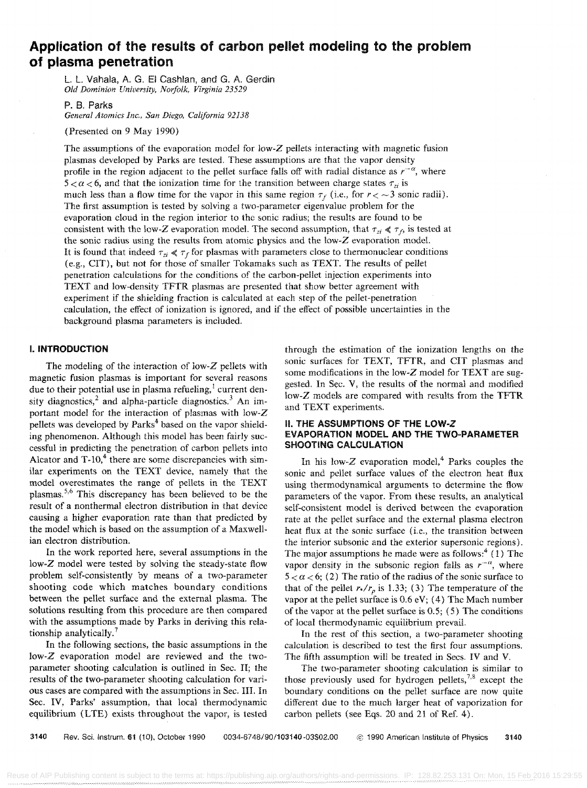## **Application of the results of carbon pellet modeling to the problem of plasma penetration**

L. l. Vahala, A. G. EI Cashlan, and G. A. Gerdin *Old Dominion University, Norfolk, Virginia 23529* 

#### P. 8. Parks

*General Atomics Inc., San Diego, California 92138* 

(Presented on 9 May 1990)

The assumptions of the evaporation model for low-Z pellets interacting with magnetic fusion plasmas developed by Parks are tested. These assumptions are that the vapor density profile in the region adjacent to the pellet surface falls off with radial distance as  $r^{-\alpha}$ , where  $5 < \alpha < 6$ , and that the ionization time for the transition between charge states  $\tau_{zi}$  is much less than a flow time for the vapor in this same region  $\tau_f$  (i.e., for  $r < \sim 3$  sonic radii). The first assumption is tested by solving a two-parameter eigenvalue problem for the evaporation cloud in the region interior to the sonic radius; the results are found to be consistent with the low-Z evaporation model. The second assumption, that  $\tau_{zi} \ll \tau_f$ , is tested at the sonic radius using the results from atomic physics and the low-Z evaporation model. It is found that indeed  $\tau_{zi} \ll \tau_f$  for plasmas with parameters close to thermonuclear conditions (e.g., CIT), but not for those of smaller Tokamaks such as TEXT. The results of pellet penetration calculations for the conditions of the carbon-pellet injection experiments into TEXT and low-density TFTR plasmas are presented that show bettcr agreemcnt with experiment if the shielding fraction is calculated at each step of the pellet-penetration calculation, the effect of ionization is ignored, and if the effect of possible uncertainties in the background plasma parameters is included.

#### **I. INTRODUCTION**

The modeling of the interaction of low-Z pellets with magnetic fusion plasmas is important for several reasons due to their potential use in plasma refueling, $<sup>1</sup>$  current den-</sup> sity diagnostics,<sup>2</sup> and alpha-particle diagnostics.<sup>3</sup> An important model for the interaction of plasmas with low-Z pellets was developed by Parks<sup>4</sup> based on the vapor shielding phenomenon. Although this model has been fairly successful in predicting the penetration of carbon pellets into Alcator and  $T-10$ ,<sup>4</sup> there are some discrepancies with similar experiments on the TEXT device, namely that the model overestimates the range of pellets in the TEXT plasmas.<sup>5,6</sup> This discrepancy has been believed to be the result of a nonthermal electron distribution in that device causing a higher evaporation rate than that predicted by the mode! which is based on the assumption of a Maxwellian electron distribution.

In the work reported here, several assumptions **in** the low-Z model were tested by solving the steady-state flow problem self-consistently by means of a two-parameter shooting code which matches boundary conditions between the pellet surface and the external plasma. The solutions resulting from this procedure are then compared with the assumptions made by Parks in deriving this relationship analytically. 7

In the following sections, the basic assumptions in the low-Z evaporation model are reviewed and the twoparameter shooting calculation is outlined in Sec. II; the results of the two-parameter shooting calculation for various cases are compared with the assumptions in Sec. III. In Sec. IV, Parks' assumption, that local thermodynamic equilibrium (LTE) exists throughout the vapor, is tested through the estimation of the ionization lengths on the sonic surfaces for TEXT, TFTR, and CIT plasmas and some modifications in the low-Z model for TEXT are suggested. In Sec. V, the results of the normal and modified low-Z models are compared with results from the TFTR and TEXT experiments.

#### **II. THE ASSUMPTIONS OF THE lOW-Z EVAPORATION MODEL AND THE TWO-PARAMETER SHOOTING CALCULATION**

In his low- $Z$  evaporation model,<sup>4</sup> Parks couples the sonic and pellet surface values of the electron heat flux using thermodynamical arguments to determine the flow parameters of the vapor. From these results, an analytical self-consistent model is derived between the evaporation rate at the pellet surface and the external plasma electron heat flux at the sonic surface (i.e., the transition between the interior subsonic and the exterior supersonic regions). The major assumptions he made were as follows:<sup>4</sup> (1) The vapor density in the subsonic region falls as  $r^{-\alpha}$ , where  $5 < \alpha < 6$ ; (2) The ratio of the radius of the sonic surface to that of the pellet  $r\sqrt{r_p}$  is 1.33; (3) The temperature of the vapor at the pellet surface is 0.6 eV; (4) The Mach number of the vapor at the pellet surface is 0.5; (5) The conditions of local thermodynamic equilibrium prevail.

In the rest of this section, a two-parameter shooting calculation is described to test the first four assumptions. The fifth assumption will be treated in Secs. IV and V.

The two-parameter shooting calculation is similar to those previously used for hydrogen pellets, $7.8$  except the boundary conditions on the pellet surface are now quite different due to the much larger heat of vaporization for carbon pellets (see Eqs. 20 and 21 of Ref. 4).

3140 Rev. Sci. lostrum. 61 (10), October 1990 0034-6748/90/103140 -03\$02.00 © 1990 American Institute of Physics 3140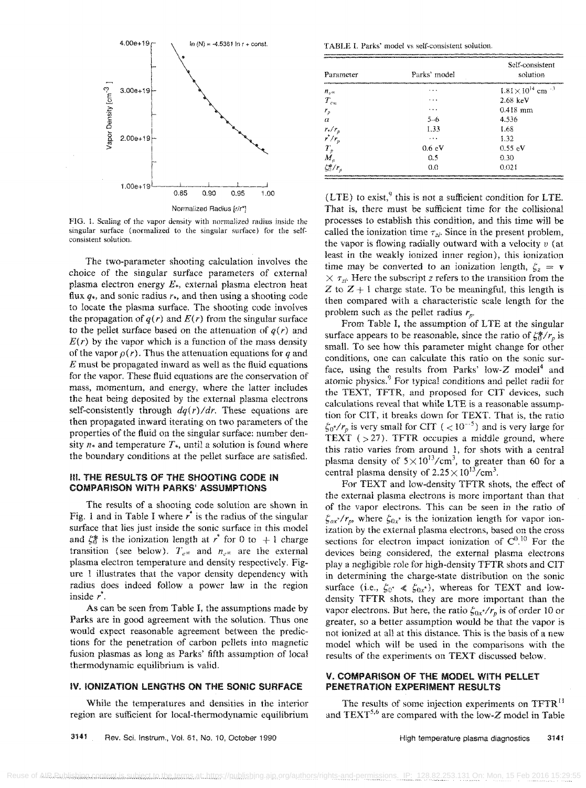

FIG. J. Scaling of the vapor density with normalized radius inside the singular surface (normalized to the singular surface) for the selfconsistent solution.

The two-parameter shooting calculation involves the choice of the singular surface parameters of external plasma electron energy  $E_{\star}$ , external plasma electron heat flux  $q_*$ , and sonic radius  $r_*$ , and then using a shooting code to locate the plasma surface. The shooting code involves the propagation of  $q(r)$  and  $E(r)$  from the singular surface to the pellet surface based on the attenuation of  $q(r)$  and  $E(r)$  by the vapor which is a function of the mass density of the vapor  $\rho(r)$ . Thus the attenuation equations for q and *E* must be propagated inward as well as the fluid equations for the vapor. These fluid equations are the conservation of mass, momentum, and energy, where the latter includes the heat being deposited by the external plasma electrons self-consistently through  $dq(r)/dr$ . These equations are then propagated inward iterating on two parameters of the properties of the fluid on the singular surface: number den~ sity  $n<sub>*</sub>$  and temperature  $T<sub>*</sub>$ , until a solution is found where the boundary conditions at the pellet surface are satisfied.

#### III. THE RESULTS OF THE SHOOTING CODE iN COMPARISON WITH PARKS' ASSUMPTIONS

The results of a shooting code solution are shown in Fig. 1 and in Table I where  $r^*$  is the radius of the singular surface that lies just inside the sonic surface in this model and  $\zeta_0^*$  is the ionization length at r<sup>\*</sup> for 0 to + 1 charge transition (see below).  $T_{e^{\infty}}$  and  $n_{e^{\infty}}$  are the external plasma electron temperature and density respectively. Figure 1 illustrates that the vapor density dependency with radius does indeed follow a power law in the region inside  $r^*$ .

As can be seen from Table I, the assumptions made by Parks are in good agreement with the solution. Thus one would expect reasonable agreement between the predictions for the penetration of carbon pellets into magnetic fusion plasmas as long as Parks' fifth assumption of local thermodynamic equilibrium is valid.

#### IV. IONIZATION LENGTHS ON THE SONIC SURFACE

While the temperatures and densities in the interior region are sufficient for local-thermodynamic equilibrium

TABLE 1. Parks' model vs self-consistent solution.

| Parameter                 | Parks' model    | Self-consistent<br>solution          |  |
|---------------------------|-----------------|--------------------------------------|--|
| $n_{\nu}$                 | $\cdots$        | $1.81\times10^{14}$ cm <sup>-3</sup> |  |
| $T_{\rm ex}$              | $\cdot$ $\cdot$ | $2.68 \text{ keV}$                   |  |
| $r_{p}$                   | $\cdots$        | $0.418$ mm                           |  |
| $\alpha$                  | $5 - 6$         | 4.536                                |  |
|                           | 1.33            | 1.68                                 |  |
| $\frac{r_*/r_p}{r^*/r_p}$ | .               | 1.32                                 |  |
|                           | 0.6 eV          | $0.55$ eV                            |  |
| $\frac{T_{p}}{M_{p}}$     | 0.5             | 0.30                                 |  |
| $\zeta_0^*/r$             | 0.0             | 0.021                                |  |

 $(LTE)$  to exist,<sup>9</sup> this is not a sufficient condition for LTE. That is, there must be sufficient time for the collisional processes to establish this condition, and this time will be called the ionization time  $\tau_{zi}$ . Since in the present problem, the vapor is flowing radially outward with a velocity *v* (at least in the weakly ionized inner region), this ionization time may be converted to an ionization length,  $\zeta_z = v$  $\times \tau_{zi}$ . Here the subscript *z* refers to the transition from the Z to  $Z + i$  charge state. To be meaningful, this length is then compared with a characteristic scale length for the problem such as the pellet radius  $r_n$ .

From Table I, the assumption of LTE at the singular surface appears to be reasonable, since the ratio of  $\zeta_0^*/r_p$  is small. To see how this parameter might change for other conditions, one can calculate this ratio on the sonic surface, using the results from Parks' low-Z model<sup>4</sup> and atomic physics. 9 For typical conditions and pellet radii for the TEXT, TFTR, and proposed for CIT devices, such calculations reveal that while LTE is a reasonable assumption for CIT, it breaks down for TEXT. That is, the ratio  $\zeta_0$ <sup>*'</sup>*/ $r_p$  is very small for CIT ( < 10<sup>-5</sup>) and is very large for</sup> TEXT  $( > 27)$ . TFTR occupies a middle ground, where this ratio varies from around 1, for shots with a central plasma density of  $5 \times 10^{13} / \text{cm}^3$ , to greater than 60 for a central plasma density of  $2.25 \times 10^{13} / \text{cm}^3$ .

For TEXT and low-density TFTR shots, the effect of the external plasma electrons is more important than that of the vapor electrons. This can be seen in the ratio of  $\zeta_{ox}$ / $r_p$ , where  $\zeta_{0x}$ <sup>\*</sup> is the ionization length for vapor ionization by the external plasma electrons, based on the cross sections for electron impact ionization of  $C^{0.10}$  For the devices being considered, the external plasma electrons playa negligible role for high-density TFTR shots and CIT in determining the charge-state distribution on the sonic surface (i.e.,  $\zeta_{0^*} \ll \zeta_{0x^*}$ ), whereas for TEXT and lowdensity TFTR shots, they are more important than the vapor electrons. But here, the ratio  $\zeta_{0x^*}/r_p$  is of order 10 or greater, so a better assumption would be that the vapor is not ionized at all at this distance. This is the basis of a new model which will be used in the comparisons with the results of the experiments on TEXT discussed below.

#### V. COMPARISON OF THE MODEL WITH PELLET PENETRATION EXPERIMENT RESULTS

The results of some injection experiments on TFTR<sup>11</sup> and  $text{TEXT}^{5,6}$  are compared with the low-Z model in Table

3141 Rev. Sci. Instrum., Vol. 81, No. 10, October 1990